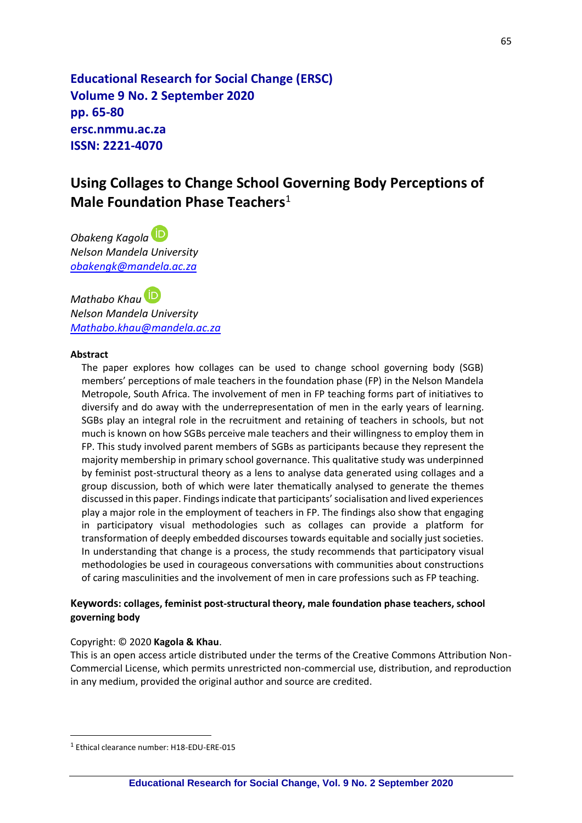**Educational Research for Social Change (ERSC) Volume 9 No. 2 September 2020 pp. 65-80 ersc.nmmu.ac.za ISSN: 2221-4070**

# **Using Collages to Change School Governing Body Perceptions of Male Foundation Phase Teachers** 1

*Obakeng Kagola Nelson Mandela University [obakengk@mandela.ac.za](mailto:obakengk@mandela.ac.za)*

*Mathabo Khau Nelson Mandela University [Mathabo.khau@mandela.ac.za](mailto:Mathabo.khau@mandela.ac.za)*

### **Abstract**

The paper explores how collages can be used to change school governing body (SGB) members' perceptions of male teachers in the foundation phase (FP) in the Nelson Mandela Metropole, South Africa. The involvement of men in FP teaching forms part of initiatives to diversify and do away with the underrepresentation of men in the early years of learning. SGBs play an integral role in the recruitment and retaining of teachers in schools, but not much is known on how SGBs perceive male teachers and their willingness to employ them in FP. This study involved parent members of SGBs as participants because they represent the majority membership in primary school governance. This qualitative study was underpinned by feminist post-structural theory as a lens to analyse data generated using collages and a group discussion, both of which were later thematically analysed to generate the themes discussed in this paper. Findings indicate that participants' socialisation and lived experiences play a major role in the employment of teachers in FP. The findings also show that engaging in participatory visual methodologies such as collages can provide a platform for transformation of deeply embedded discourses towards equitable and socially just societies. In understanding that change is a process, the study recommends that participatory visual methodologies be used in courageous conversations with communities about constructions of caring masculinities and the involvement of men in care professions such as FP teaching.

### **Keywords: collages, feminist post-structural theory, male foundation phase teachers, school governing body**

### Copyright: © 2020 **Kagola & Khau**.

This is an open access article distributed under the terms of the Creative Commons Attribution Non-Commercial License, which permits unrestricted non-commercial use, distribution, and reproduction in any medium, provided the original author and source are credited.

<sup>1</sup> Ethical clearance number: H18-EDU-ERE-015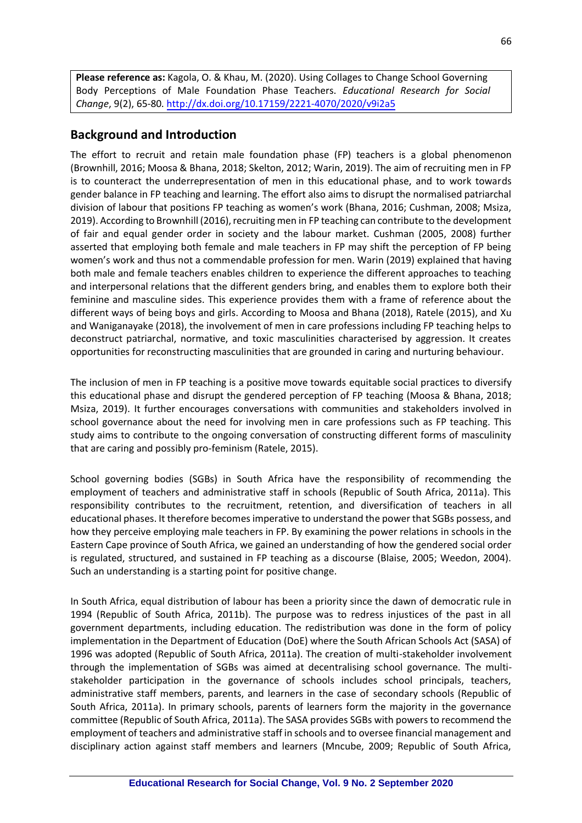**Please reference as:** Kagola, O. & Khau, M. (2020). Using Collages to Change School Governing Body Perceptions of Male Foundation Phase Teachers. *Educational Research for Social Change*, 9(2)[, 65-80. http://dx.doi.org/10.17159/2221-4070/2020/v](http://dx.doi.org/10.17159/2221-4070/2020/v9i2a5)9i2a5

# **Background and Introduction**

The effort to recruit and retain male foundation phase (FP) teachers is a global phenomenon (Brownhill, 2016; Moosa & Bhana, 2018; Skelton, 2012; Warin, 2019). The aim of recruiting men in FP is to counteract the underrepresentation of men in this educational phase, and to work towards gender balance in FP teaching and learning. The effort also aims to disrupt the normalised patriarchal division of labour that positions FP teaching as women's work (Bhana, 2016; Cushman, 2008; Msiza, 2019). According to Brownhill (2016), recruiting men in FP teaching can contribute to the development of fair and equal gender order in society and the labour market. Cushman (2005, 2008) further asserted that employing both female and male teachers in FP may shift the perception of FP being women's work and thus not a commendable profession for men. Warin (2019) explained that having both male and female teachers enables children to experience the different approaches to teaching and interpersonal relations that the different genders bring, and enables them to explore both their feminine and masculine sides. This experience provides them with a frame of reference about the different ways of being boys and girls. According to Moosa and Bhana (2018), Ratele (2015), and Xu and Waniganayake (2018), the involvement of men in care professions including FP teaching helps to deconstruct patriarchal, normative, and toxic masculinities characterised by aggression. It creates opportunities for reconstructing masculinities that are grounded in caring and nurturing behaviour.

The inclusion of men in FP teaching is a positive move towards equitable social practices to diversify this educational phase and disrupt the gendered perception of FP teaching (Moosa & Bhana, 2018; Msiza, 2019). It further encourages conversations with communities and stakeholders involved in school governance about the need for involving men in care professions such as FP teaching. This study aims to contribute to the ongoing conversation of constructing different forms of masculinity that are caring and possibly pro-feminism (Ratele, 2015).

School governing bodies (SGBs) in South Africa have the responsibility of recommending the employment of teachers and administrative staff in schools (Republic of South Africa, 2011a). This responsibility contributes to the recruitment, retention, and diversification of teachers in all educational phases. It therefore becomes imperative to understand the power that SGBs possess, and how they perceive employing male teachers in FP. By examining the power relations in schools in the Eastern Cape province of South Africa, we gained an understanding of how the gendered social order is regulated, structured, and sustained in FP teaching as a discourse (Blaise, 2005; Weedon, 2004). Such an understanding is a starting point for positive change.

In South Africa, equal distribution of labour has been a priority since the dawn of democratic rule in 1994 (Republic of South Africa, 2011b). The purpose was to redress injustices of the past in all government departments, including education. The redistribution was done in the form of policy implementation in the Department of Education (DoE) where the South African Schools Act (SASA) of 1996 was adopted (Republic of South Africa, 2011a). The creation of multi-stakeholder involvement through the implementation of SGBs was aimed at decentralising school governance. The multistakeholder participation in the governance of schools includes school principals, teachers, administrative staff members, parents, and learners in the case of secondary schools (Republic of South Africa, 2011a). In primary schools, parents of learners form the majority in the governance committee (Republic of South Africa, 2011a). The SASA provides SGBs with powers to recommend the employment of teachers and administrative staff in schools and to oversee financial management and disciplinary action against staff members and learners (Mncube, 2009; Republic of South Africa,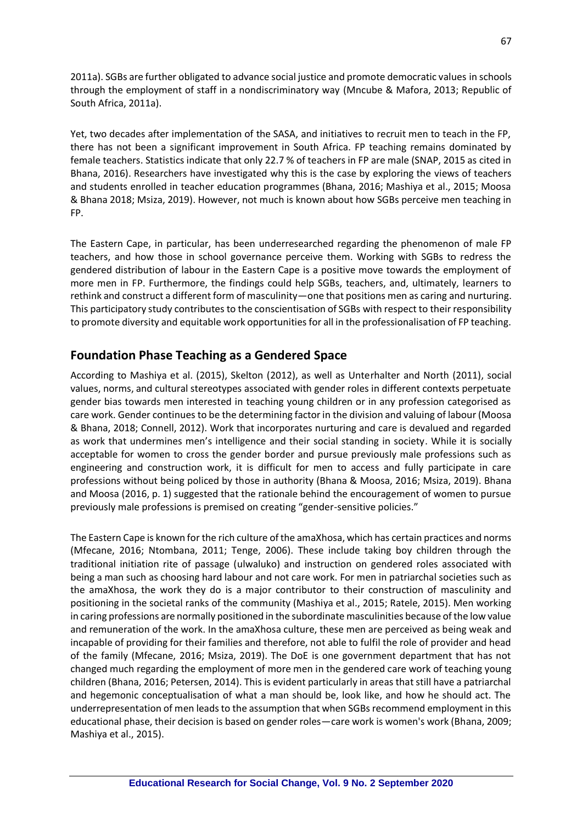2011a). SGBs are further obligated to advance social justice and promote democratic values in schools through the employment of staff in a nondiscriminatory way (Mncube & Mafora, 2013; Republic of South Africa, 2011a).

Yet, two decades after implementation of the SASA, and initiatives to recruit men to teach in the FP, there has not been a significant improvement in South Africa. FP teaching remains dominated by female teachers. Statistics indicate that only 22.7 % of teachers in FP are male (SNAP, 2015 as cited in Bhana, 2016). Researchers have investigated why this is the case by exploring the views of teachers and students enrolled in teacher education programmes (Bhana, 2016; Mashiya et al., 2015; Moosa & Bhana 2018; Msiza, 2019). However, not much is known about how SGBs perceive men teaching in FP.

The Eastern Cape, in particular, has been underresearched regarding the phenomenon of male FP teachers, and how those in school governance perceive them. Working with SGBs to redress the gendered distribution of labour in the Eastern Cape is a positive move towards the employment of more men in FP. Furthermore, the findings could help SGBs, teachers, and, ultimately, learners to rethink and construct a different form of masculinity—one that positions men as caring and nurturing. This participatory study contributes to the conscientisation of SGBs with respect to their responsibility to promote diversity and equitable work opportunities for all in the professionalisation of FP teaching.

# **Foundation Phase Teaching as a Gendered Space**

According to Mashiya et al. (2015), Skelton (2012), as well as Unterhalter and North (2011), social values, norms, and cultural stereotypes associated with gender roles in different contexts perpetuate gender bias towards men interested in teaching young children or in any profession categorised as care work. Gender continues to be the determining factor in the division and valuing of labour (Moosa & Bhana, 2018; Connell, 2012). Work that incorporates nurturing and care is devalued and regarded as work that undermines men's intelligence and their social standing in society. While it is socially acceptable for women to cross the gender border and pursue previously male professions such as engineering and construction work, it is difficult for men to access and fully participate in care professions without being policed by those in authority (Bhana & Moosa, 2016; Msiza, 2019). Bhana and Moosa (2016, p. 1) suggested that the rationale behind the encouragement of women to pursue previously male professions is premised on creating "gender-sensitive policies."

The Eastern Cape is known for the rich culture of the amaXhosa, which has certain practices and norms (Mfecane, 2016; Ntombana, 2011; Tenge, 2006). These include taking boy children through the traditional initiation rite of passage (ulwaluko) and instruction on gendered roles associated with being a man such as choosing hard labour and not care work. For men in patriarchal societies such as the amaXhosa, the work they do is a major contributor to their construction of masculinity and positioning in the societal ranks of the community (Mashiya et al., 2015; Ratele, 2015). Men working in caring professions are normally positioned in the subordinate masculinities because of the low value and remuneration of the work. In the amaXhosa culture, these men are perceived as being weak and incapable of providing for their families and therefore, not able to fulfil the role of provider and head of the family (Mfecane, 2016; Msiza, 2019). The DoE is one government department that has not changed much regarding the employment of more men in the gendered care work of teaching young children (Bhana, 2016; Petersen, 2014). This is evident particularly in areas that still have a patriarchal and hegemonic conceptualisation of what a man should be, look like, and how he should act. The underrepresentation of men leads to the assumption that when SGBs recommend employment in this educational phase, their decision is based on gender roles—care work is women's work (Bhana, 2009; Mashiya et al., 2015).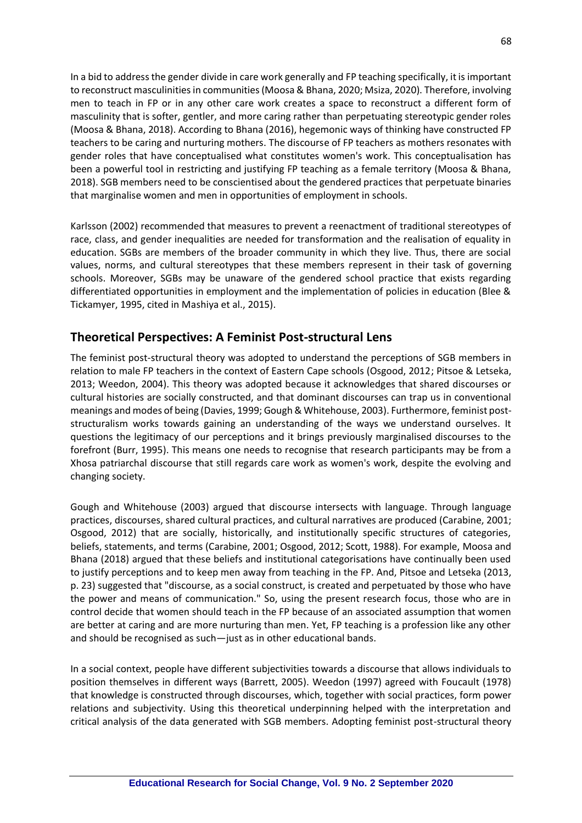In a bid to address the gender divide in care work generally and FP teaching specifically, it is important to reconstruct masculinities in communities (Moosa & Bhana, 2020; Msiza, 2020). Therefore, involving men to teach in FP or in any other care work creates a space to reconstruct a different form of masculinity that is softer, gentler, and more caring rather than perpetuating stereotypic gender roles (Moosa & Bhana, 2018). According to Bhana (2016), hegemonic ways of thinking have constructed FP teachers to be caring and nurturing mothers. The discourse of FP teachers as mothers resonates with gender roles that have conceptualised what constitutes women's work. This conceptualisation has been a powerful tool in restricting and justifying FP teaching as a female territory (Moosa & Bhana, 2018). SGB members need to be conscientised about the gendered practices that perpetuate binaries that marginalise women and men in opportunities of employment in schools.

Karlsson (2002) recommended that measures to prevent a reenactment of traditional stereotypes of race, class, and gender inequalities are needed for transformation and the realisation of equality in education. SGBs are members of the broader community in which they live. Thus, there are social values, norms, and cultural stereotypes that these members represent in their task of governing schools. Moreover, SGBs may be unaware of the gendered school practice that exists regarding differentiated opportunities in employment and the implementation of policies in education (Blee & Tickamyer, 1995, cited in Mashiya et al., 2015).

# **Theoretical Perspectives: A Feminist Post-structural Lens**

The feminist post-structural theory was adopted to understand the perceptions of SGB members in relation to male FP teachers in the context of Eastern Cape schools (Osgood, 2012; Pitsoe & Letseka, 2013; Weedon, 2004). This theory was adopted because it acknowledges that shared discourses or cultural histories are socially constructed, and that dominant discourses can trap us in conventional meanings and modes of being (Davies, 1999; Gough & Whitehouse, 2003). Furthermore, feminist poststructuralism works towards gaining an understanding of the ways we understand ourselves. It questions the legitimacy of our perceptions and it brings previously marginalised discourses to the forefront (Burr, 1995). This means one needs to recognise that research participants may be from a Xhosa patriarchal discourse that still regards care work as women's work, despite the evolving and changing society.

Gough and Whitehouse (2003) argued that discourse intersects with language. Through language practices, discourses, shared cultural practices, and cultural narratives are produced (Carabine, 2001; Osgood, 2012) that are socially, historically, and institutionally specific structures of categories, beliefs, statements, and terms (Carabine, 2001; Osgood, 2012; Scott, 1988). For example, Moosa and Bhana (2018) argued that these beliefs and institutional categorisations have continually been used to justify perceptions and to keep men away from teaching in the FP. And, Pitsoe and Letseka (2013, p. 23) suggested that "discourse, as a social construct, is created and perpetuated by those who have the power and means of communication." So, using the present research focus, those who are in control decide that women should teach in the FP because of an associated assumption that women are better at caring and are more nurturing than men. Yet, FP teaching is a profession like any other and should be recognised as such—just as in other educational bands.

In a social context, people have different subjectivities towards a discourse that allows individuals to position themselves in different ways (Barrett, 2005). Weedon (1997) agreed with Foucault (1978) that knowledge is constructed through discourses, which, together with social practices, form power relations and subjectivity. Using this theoretical underpinning helped with the interpretation and critical analysis of the data generated with SGB members. Adopting feminist post-structural theory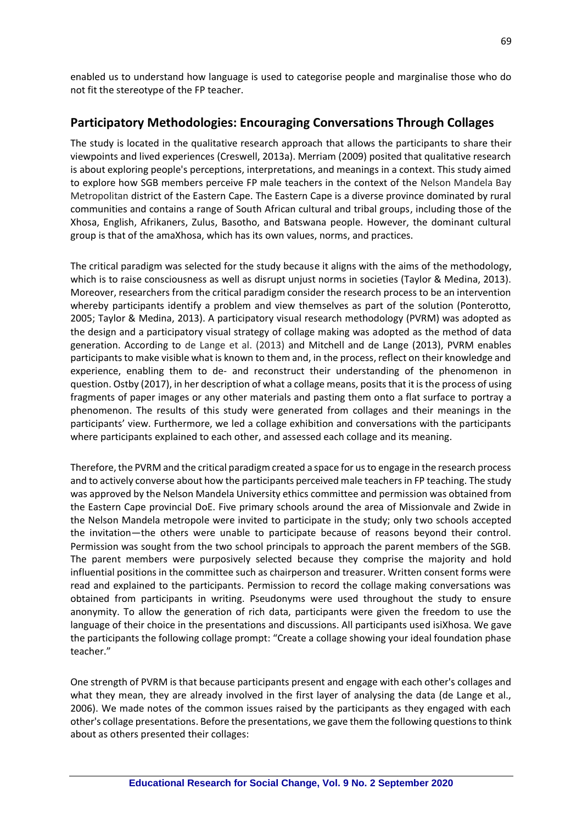enabled us to understand how language is used to categorise people and marginalise those who do not fit the stereotype of the FP teacher.

# **Participatory Methodologies: Encouraging Conversations Through Collages**

The study is located in the qualitative research approach that allows the participants to share their viewpoints and lived experiences (Creswell, 2013a). Merriam (2009) posited that qualitative research is about exploring people's perceptions, interpretations, and meanings in a context. This study aimed to explore how SGB members perceive FP male teachers in the context of the Nelson Mandela Bay Metropolitan district of the Eastern Cape. The Eastern Cape is a diverse province dominated by rural communities and contains a range of South African cultural and tribal groups, including those of the Xhosa, English, Afrikaners, Zulus, Basotho, and Batswana people. However, the dominant cultural group is that of the amaXhosa, which has its own values, norms, and practices.

The critical paradigm was selected for the study because it aligns with the aims of the methodology, which is to raise consciousness as well as disrupt unjust norms in societies (Taylor & Medina, 2013). Moreover, researchers from the critical paradigm consider the research process to be an intervention whereby participants identify a problem and view themselves as part of the solution (Ponterotto, 2005; Taylor & Medina, 2013). A participatory visual research methodology (PVRM) was adopted as the design and a participatory visual strategy of collage making was adopted as the method of data generation. According to de Lange et al. (2013) and Mitchell and de Lange (2013), PVRM enables participants to make visible what is known to them and, in the process, reflect on their knowledge and experience, enabling them to de- and reconstruct their understanding of the phenomenon in question. Ostby (2017), in her description of what a collage means, posits that it is the process of using fragments of paper images or any other materials and pasting them onto a flat surface to portray a phenomenon. The results of this study were generated from collages and their meanings in the participants' view. Furthermore, we led a collage exhibition and conversations with the participants where participants explained to each other, and assessed each collage and its meaning.

Therefore, the PVRM and the critical paradigm created a space for us to engage in the research process and to actively converse about how the participants perceived male teachers in FP teaching. The study was approved by the Nelson Mandela University ethics committee and permission was obtained from the Eastern Cape provincial DoE. Five primary schools around the area of Missionvale and Zwide in the Nelson Mandela metropole were invited to participate in the study; only two schools accepted the invitation—the others were unable to participate because of reasons beyond their control. Permission was sought from the two school principals to approach the parent members of the SGB. The parent members were purposively selected because they comprise the majority and hold influential positions in the committee such as chairperson and treasurer. Written consent forms were read and explained to the participants. Permission to record the collage making conversations was obtained from participants in writing. Pseudonyms were used throughout the study to ensure anonymity. To allow the generation of rich data, participants were given the freedom to use the language of their choice in the presentations and discussions. All participants used isiXhosa. We gave the participants the following collage prompt: "Create a collage showing your ideal foundation phase teacher."

One strength of PVRM is that because participants present and engage with each other's collages and what they mean, they are already involved in the first layer of analysing the data (de Lange et al., 2006). We made notes of the common issues raised by the participants as they engaged with each other's collage presentations. Before the presentations, we gave them the following questions to think about as others presented their collages: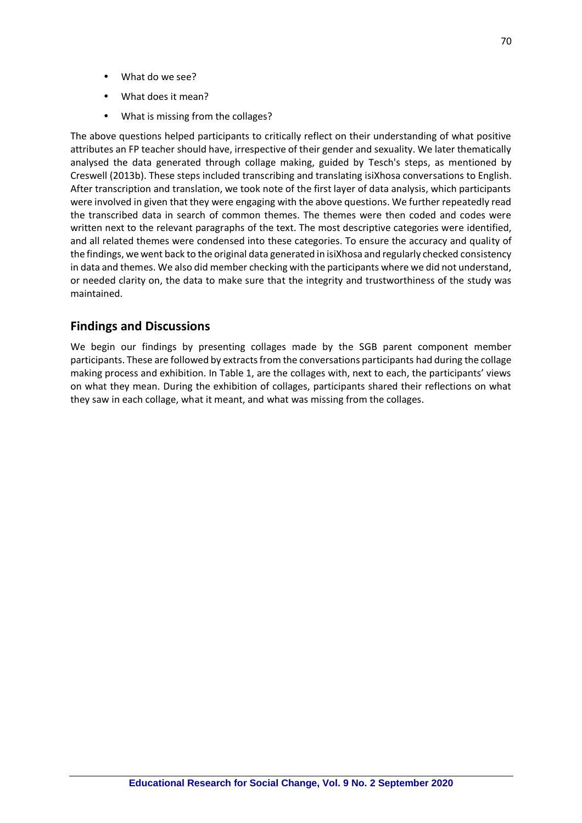- What do we see?
- What does it mean?
- What is missing from the collages?

The above questions helped participants to critically reflect on their understanding of what positive attributes an FP teacher should have, irrespective of their gender and sexuality. We later thematically analysed the data generated through collage making, guided by Tesch's steps, as mentioned by Creswell (2013b). These steps included transcribing and translating isiXhosa conversations to English. After transcription and translation, we took note of the first layer of data analysis, which participants were involved in given that they were engaging with the above questions. We further repeatedly read the transcribed data in search of common themes. The themes were then coded and codes were written next to the relevant paragraphs of the text. The most descriptive categories were identified, and all related themes were condensed into these categories. To ensure the accuracy and quality of the findings, we went back to the original data generated in isiXhosa and regularly checked consistency in data and themes. We also did member checking with the participants where we did not understand, or needed clarity on, the data to make sure that the integrity and trustworthiness of the study was maintained.

# **Findings and Discussions**

We begin our findings by presenting collages made by the SGB parent component member participants. These are followed by extracts from the conversations participants had during the collage making process and exhibition. In Table 1, are the collages with, next to each, the participants' views on what they mean. During the exhibition of collages, participants shared their reflections on what they saw in each collage, what it meant, and what was missing from the collages.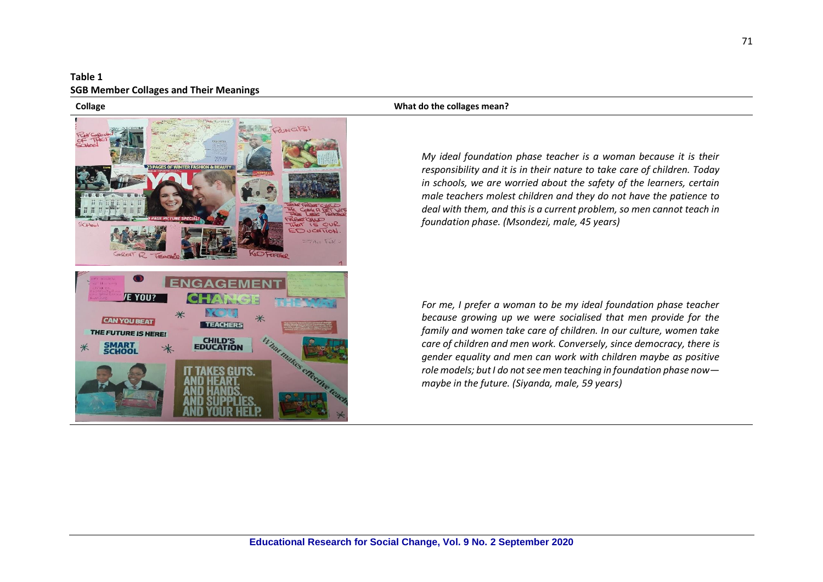### **Table 1 SGB Member Collages and Their Meanings**



### **Collage What do the collages mean?**

*My ideal foundation phase teacher is a woman because it is their responsibility and it is in their nature to take care of children. Today in schools, we are worried about the safety of the learners, certain male teachers molest children and they do not have the patience to deal with them, and this is a current problem, so men cannot teach in foundation phase. (Msondezi, male, 45 years)*

*For me, I prefer a woman to be my ideal foundation phase teacher because growing up we were socialised that men provide for the family and women take care of children. In our culture, women take care of children and men work. Conversely, since democracy, there is gender equality and men can work with children maybe as positive role models; but I do not see men teaching in foundation phase now maybe in the future. (Siyanda, male, 59 years)*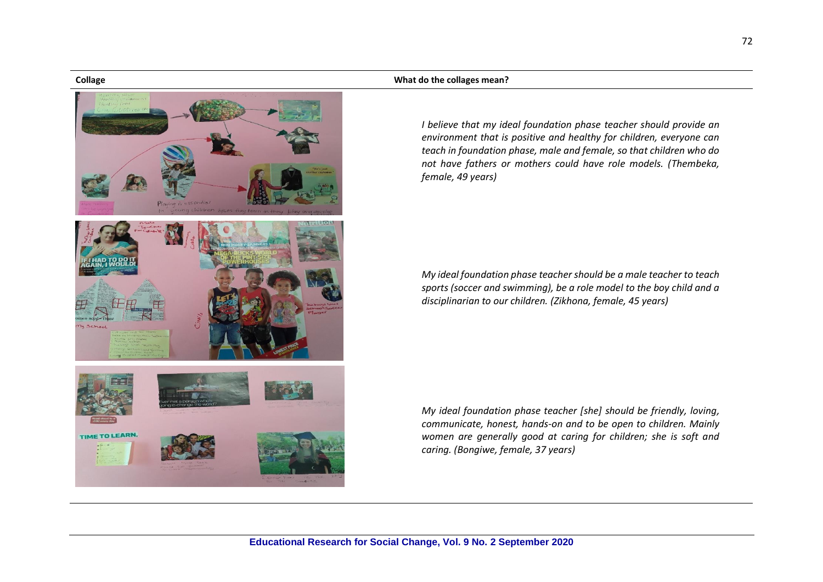**TIME TO LEARN.** 

### **Collage What do the collages mean?**

*I believe that my ideal foundation phase teacher should provide an environment that is positive and healthy for children, everyone can teach in foundation phase, male and female, so that children who do not have fathers or mothers could have role models. (Thembeka, female, 49 years)*

*My ideal foundation phase teacher should be a male teacher to teach sports (soccer and swimming), be a role model to the boy child and a disciplinarian to our children. (Zikhona, female, 45 years)*

*My ideal foundation phase teacher [she] should be friendly, loving, communicate, honest, hands-on and to be open to children. Mainly women are generally good at caring for children; she is soft and caring. (Bongiwe, female, 37 years)*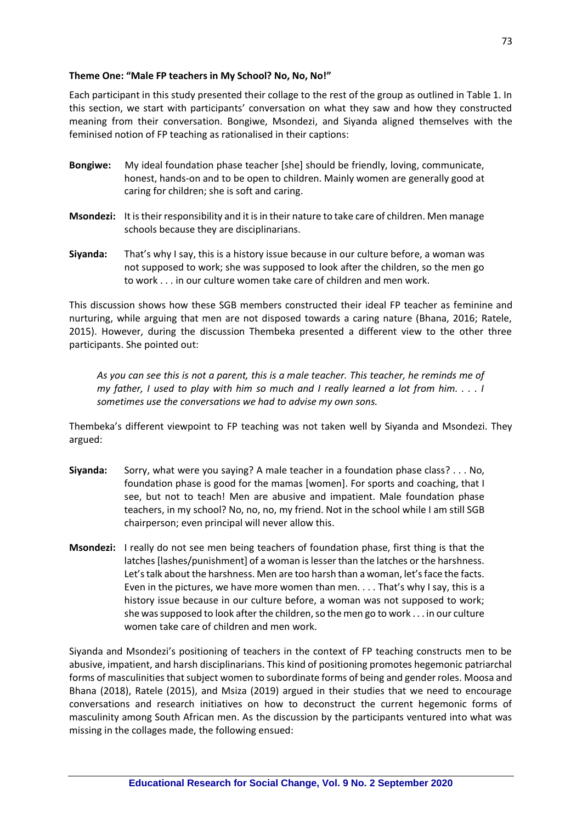### **Theme One: "Male FP teachers in My School? No, No, No!"**

Each participant in this study presented their collage to the rest of the group as outlined in Table 1. In this section, we start with participants' conversation on what they saw and how they constructed meaning from their conversation. Bongiwe, Msondezi, and Siyanda aligned themselves with the feminised notion of FP teaching as rationalised in their captions:

- **Bongiwe:** My ideal foundation phase teacher [she] should be friendly, loving, communicate, honest, hands-on and to be open to children. Mainly women are generally good at caring for children; she is soft and caring.
- **Msondezi:** It is their responsibility and it is in their nature to take care of children. Men manage schools because they are disciplinarians.
- **Siyanda:** That's why I say, this is a history issue because in our culture before, a woman was not supposed to work; she was supposed to look after the children, so the men go to work . . . in our culture women take care of children and men work.

This discussion shows how these SGB members constructed their ideal FP teacher as feminine and nurturing, while arguing that men are not disposed towards a caring nature (Bhana, 2016; Ratele, 2015). However, during the discussion Thembeka presented a different view to the other three participants. She pointed out:

*As you can see this is not a parent, this is a male teacher. This teacher, he reminds me of my father, I used to play with him so much and I really learned a lot from him. . . . I sometimes use the conversations we had to advise my own sons.*

Thembeka's different viewpoint to FP teaching was not taken well by Siyanda and Msondezi. They argued:

- **Siyanda:** Sorry, what were you saying? A male teacher in a foundation phase class? . . . No, foundation phase is good for the mamas [women]. For sports and coaching, that I see, but not to teach! Men are abusive and impatient. Male foundation phase teachers, in my school? No, no, no, my friend. Not in the school while I am still SGB chairperson; even principal will never allow this.
- **Msondezi:** I really do not see men being teachers of foundation phase, first thing is that the latches [lashes/punishment] of a woman is lesser than the latches or the harshness. Let's talk about the harshness. Men are too harsh than a woman, let's face the facts. Even in the pictures, we have more women than men. . . . That's why I say, this is a history issue because in our culture before, a woman was not supposed to work; she was supposed to look after the children, so the men go to work . . . in our culture women take care of children and men work.

Siyanda and Msondezi's positioning of teachers in the context of FP teaching constructs men to be abusive, impatient, and harsh disciplinarians. This kind of positioning promotes hegemonic patriarchal forms of masculinities that subject women to subordinate forms of being and gender roles. Moosa and Bhana (2018), Ratele (2015), and Msiza (2019) argued in their studies that we need to encourage conversations and research initiatives on how to deconstruct the current hegemonic forms of masculinity among South African men. As the discussion by the participants ventured into what was missing in the collages made, the following ensued: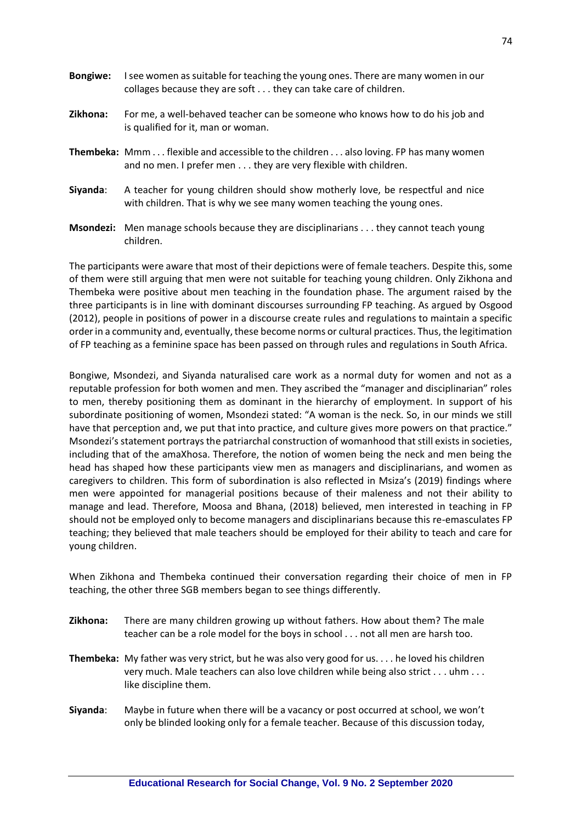| <b>Bongiwe:</b> | I see women as suitable for teaching the young ones. There are many women in our<br>collages because they are soft they can take care of children.            |
|-----------------|---------------------------------------------------------------------------------------------------------------------------------------------------------------|
| Zikhona:        | For me, a well-behaved teacher can be someone who knows how to do his job and<br>is qualified for it, man or woman.                                           |
|                 | <b>Thembeka:</b> Mmm flexible and accessible to the children also loving. FP has many women<br>and no men. I prefer men they are very flexible with children. |
| Siyanda:        | A teacher for young children should show motherly love, be respectful and nice<br>with children. That is why we see many women teaching the young ones.       |
|                 | <b>Msondezi:</b> Men manage schools because they are disciplinarians they cannot teach young                                                                  |

children.

The participants were aware that most of their depictions were of female teachers. Despite this, some of them were still arguing that men were not suitable for teaching young children. Only Zikhona and Thembeka were positive about men teaching in the foundation phase. The argument raised by the three participants is in line with dominant discourses surrounding FP teaching. As argued by Osgood (2012), people in positions of power in a discourse create rules and regulations to maintain a specific order in a community and, eventually, these become norms or cultural practices. Thus, the legitimation of FP teaching as a feminine space has been passed on through rules and regulations in South Africa.

Bongiwe, Msondezi, and Siyanda naturalised care work as a normal duty for women and not as a reputable profession for both women and men. They ascribed the "manager and disciplinarian" roles to men, thereby positioning them as dominant in the hierarchy of employment. In support of his subordinate positioning of women, Msondezi stated: "A woman is the neck. So, in our minds we still have that perception and, we put that into practice, and culture gives more powers on that practice." Msondezi's statement portrays the patriarchal construction of womanhood that still exists in societies, including that of the amaXhosa. Therefore, the notion of women being the neck and men being the head has shaped how these participants view men as managers and disciplinarians, and women as caregivers to children. This form of subordination is also reflected in Msiza's (2019) findings where men were appointed for managerial positions because of their maleness and not their ability to manage and lead. Therefore, Moosa and Bhana, (2018) believed, men interested in teaching in FP should not be employed only to become managers and disciplinarians because this re-emasculates FP teaching; they believed that male teachers should be employed for their ability to teach and care for young children.

When Zikhona and Thembeka continued their conversation regarding their choice of men in FP teaching, the other three SGB members began to see things differently.

- **Zikhona:** There are many children growing up without fathers. How about them? The male teacher can be a role model for the boys in school . . . not all men are harsh too.
- **Thembeka:** My father was very strict, but he was also very good for us. . . . he loved his children very much. Male teachers can also love children while being also strict . . . uhm . . . like discipline them.
- **Siyanda**: Maybe in future when there will be a vacancy or post occurred at school, we won't only be blinded looking only for a female teacher. Because of this discussion today,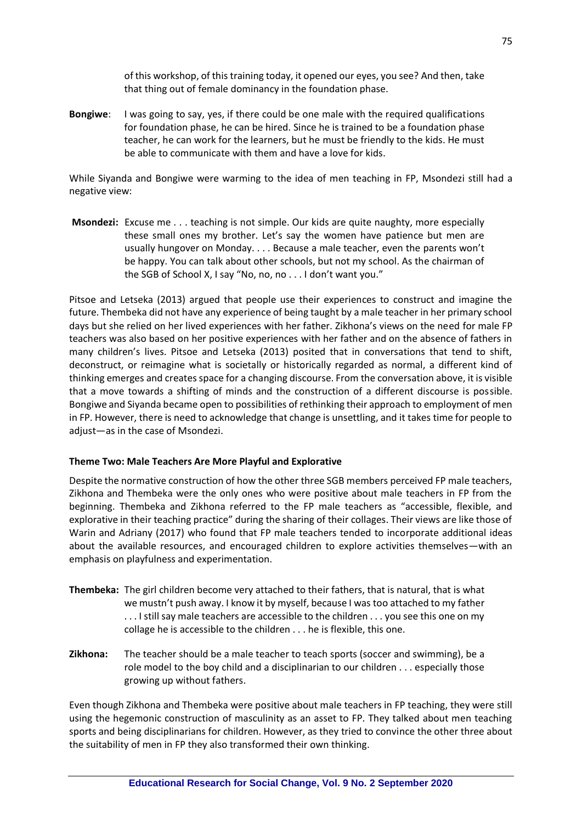of this workshop, of this training today, it opened our eyes, you see? And then, take that thing out of female dominancy in the foundation phase.

**Bongiwe**: I was going to say, yes, if there could be one male with the required qualifications for foundation phase, he can be hired. Since he is trained to be a foundation phase teacher, he can work for the learners, but he must be friendly to the kids. He must be able to communicate with them and have a love for kids.

While Siyanda and Bongiwe were warming to the idea of men teaching in FP, Msondezi still had a negative view:

**Msondezi:** Excuse me . . . teaching is not simple. Our kids are quite naughty, more especially these small ones my brother. Let's say the women have patience but men are usually hungover on Monday. . . . Because a male teacher, even the parents won't be happy. You can talk about other schools, but not my school. As the chairman of the SGB of School X, I say "No, no, no . . . I don't want you."

Pitsoe and Letseka (2013) argued that people use their experiences to construct and imagine the future. Thembeka did not have any experience of being taught by a male teacher in her primary school days but she relied on her lived experiences with her father. Zikhona's views on the need for male FP teachers was also based on her positive experiences with her father and on the absence of fathers in many children's lives. Pitsoe and Letseka (2013) posited that in conversations that tend to shift, deconstruct, or reimagine what is societally or historically regarded as normal, a different kind of thinking emerges and creates space for a changing discourse. From the conversation above, it is visible that a move towards a shifting of minds and the construction of a different discourse is possible. Bongiwe and Siyanda became open to possibilities of rethinking their approach to employment of men in FP. However, there is need to acknowledge that change is unsettling, and it takes time for people to adjust—as in the case of Msondezi.

### **Theme Two: Male Teachers Are More Playful and Explorative**

Despite the normative construction of how the other three SGB members perceived FP male teachers, Zikhona and Thembeka were the only ones who were positive about male teachers in FP from the beginning. Thembeka and Zikhona referred to the FP male teachers as "accessible, flexible, and explorative in their teaching practice" during the sharing of their collages. Their views are like those of Warin and Adriany (2017) who found that FP male teachers tended to incorporate additional ideas about the available resources, and encouraged children to explore activities themselves—with an emphasis on playfulness and experimentation.

- **Thembeka:** The girl children become very attached to their fathers, that is natural, that is what we mustn't push away. I know it by myself, because I was too attached to my father . . . I still say male teachers are accessible to the children . . . you see this one on my collage he is accessible to the children . . . he is flexible, this one.
- **Zikhona:** The teacher should be a male teacher to teach sports (soccer and swimming), be a role model to the boy child and a disciplinarian to our children . . . especially those growing up without fathers.

Even though Zikhona and Thembeka were positive about male teachers in FP teaching, they were still using the hegemonic construction of masculinity as an asset to FP. They talked about men teaching sports and being disciplinarians for children. However, as they tried to convince the other three about the suitability of men in FP they also transformed their own thinking.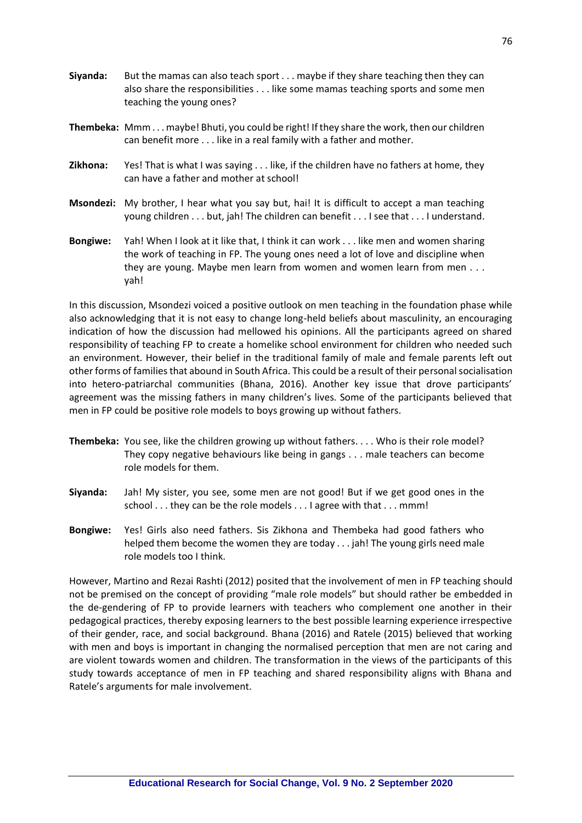- **Siyanda:** But the mamas can also teach sport . . . maybe if they share teaching then they can also share the responsibilities . . . like some mamas teaching sports and some men teaching the young ones?
- **Thembeka:** Mmm . . . maybe! Bhuti, you could be right! If they share the work, then our children can benefit more . . . like in a real family with a father and mother.
- **Zikhona:** Yes! That is what I was saying . . . like, if the children have no fathers at home, they can have a father and mother at school!
- **Msondezi:** My brother, I hear what you say but, hai! It is difficult to accept a man teaching young children . . . but, jah! The children can benefit . . . I see that . . . I understand.
- **Bongiwe:** Yah! When I look at it like that, I think it can work . . . like men and women sharing the work of teaching in FP. The young ones need a lot of love and discipline when they are young. Maybe men learn from women and women learn from men . . . yah!

In this discussion, Msondezi voiced a positive outlook on men teaching in the foundation phase while also acknowledging that it is not easy to change long-held beliefs about masculinity, an encouraging indication of how the discussion had mellowed his opinions. All the participants agreed on shared responsibility of teaching FP to create a homelike school environment for children who needed such an environment. However, their belief in the traditional family of male and female parents left out other forms of families that abound in South Africa. This could be a result of their personal socialisation into hetero-patriarchal communities (Bhana, 2016). Another key issue that drove participants' agreement was the missing fathers in many children's lives. Some of the participants believed that men in FP could be positive role models to boys growing up without fathers.

- **Thembeka:** You see, like the children growing up without fathers. . . . Who is their role model? They copy negative behaviours like being in gangs . . . male teachers can become role models for them.
- **Siyanda:** Jah! My sister, you see, some men are not good! But if we get good ones in the school . . . they can be the role models . . . I agree with that . . . mmm!
- **Bongiwe:** Yes! Girls also need fathers. Sis Zikhona and Thembeka had good fathers who helped them become the women they are today . . . jah! The young girls need male role models too I think.

However, Martino and Rezai Rashti (2012) posited that the involvement of men in FP teaching should not be premised on the concept of providing "male role models" but should rather be embedded in the de-gendering of FP to provide learners with teachers who complement one another in their pedagogical practices, thereby exposing learners to the best possible learning experience irrespective of their gender, race, and social background. Bhana (2016) and Ratele (2015) believed that working with men and boys is important in changing the normalised perception that men are not caring and are violent towards women and children. The transformation in the views of the participants of this study towards acceptance of men in FP teaching and shared responsibility aligns with Bhana and Ratele's arguments for male involvement.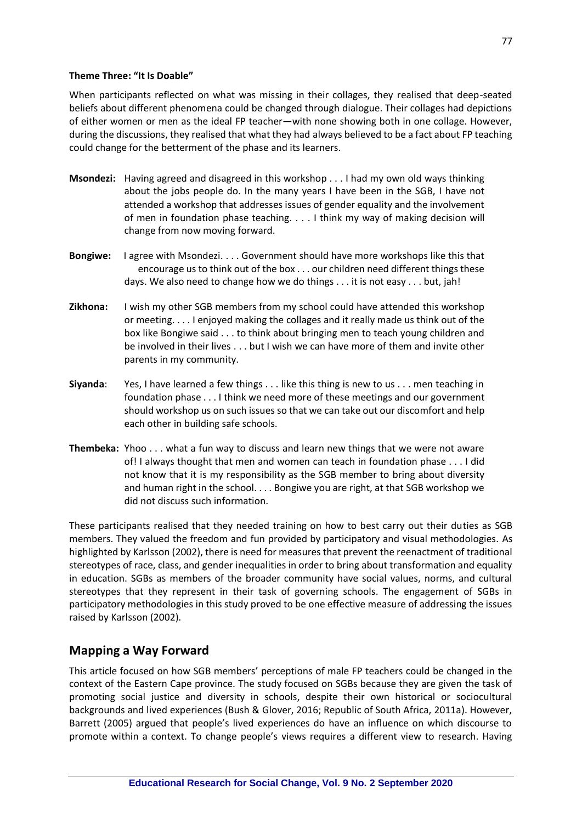### **Theme Three: "It Is Doable"**

When participants reflected on what was missing in their collages, they realised that deep-seated beliefs about different phenomena could be changed through dialogue. Their collages had depictions of either women or men as the ideal FP teacher—with none showing both in one collage. However, during the discussions, they realised that what they had always believed to be a fact about FP teaching could change for the betterment of the phase and its learners.

- **Msondezi:** Having agreed and disagreed in this workshop . . . I had my own old ways thinking about the jobs people do. In the many years I have been in the SGB, I have not attended a workshop that addresses issues of gender equality and the involvement of men in foundation phase teaching. . . . I think my way of making decision will change from now moving forward.
- **Bongiwe:** I agree with Msondezi. . . . Government should have more workshops like this that encourage us to think out of the box . . . our children need different things these days. We also need to change how we do things . . . it is not easy . . . but, jah!
- **Zikhona:** I wish my other SGB members from my school could have attended this workshop or meeting. . . . I enjoyed making the collages and it really made us think out of the box like Bongiwe said . . . to think about bringing men to teach young children and be involved in their lives . . . but I wish we can have more of them and invite other parents in my community.
- **Siyanda**: Yes, I have learned a few things . . . like this thing is new to us . . . men teaching in foundation phase . . . I think we need more of these meetings and our government should workshop us on such issues so that we can take out our discomfort and help each other in building safe schools.
- **Thembeka:** Yhoo . . . what a fun way to discuss and learn new things that we were not aware of! I always thought that men and women can teach in foundation phase . . . I did not know that it is my responsibility as the SGB member to bring about diversity and human right in the school. . . . Bongiwe you are right, at that SGB workshop we did not discuss such information.

These participants realised that they needed training on how to best carry out their duties as SGB members. They valued the freedom and fun provided by participatory and visual methodologies. As highlighted by Karlsson (2002), there is need for measures that prevent the reenactment of traditional stereotypes of race, class, and gender inequalities in order to bring about transformation and equality in education. SGBs as members of the broader community have social values, norms, and cultural stereotypes that they represent in their task of governing schools. The engagement of SGBs in participatory methodologies in this study proved to be one effective measure of addressing the issues raised by Karlsson (2002).

# **Mapping a Way Forward**

This article focused on how SGB members' perceptions of male FP teachers could be changed in the context of the Eastern Cape province. The study focused on SGBs because they are given the task of promoting social justice and diversity in schools, despite their own historical or sociocultural backgrounds and lived experiences (Bush & Glover, 2016; Republic of South Africa, 2011a). However, Barrett (2005) argued that people's lived experiences do have an influence on which discourse to promote within a context. To change people's views requires a different view to research. Having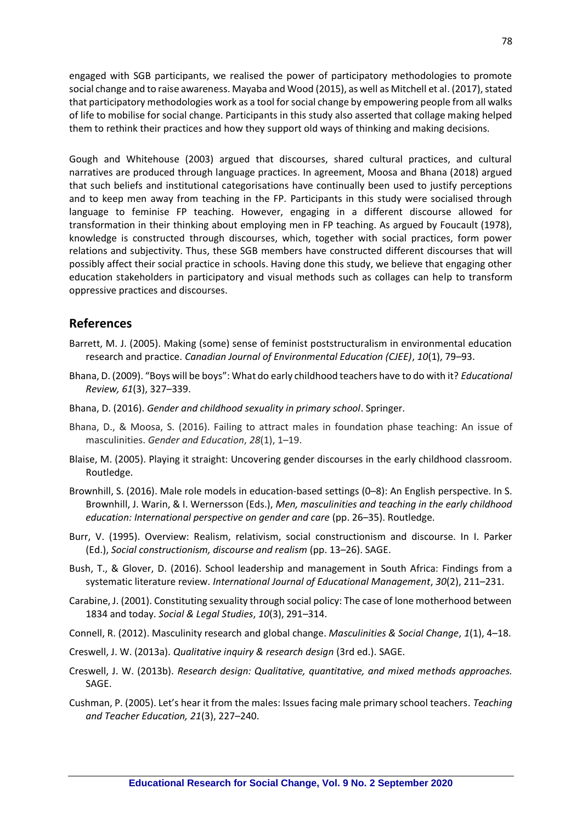engaged with SGB participants, we realised the power of participatory methodologies to promote social change and to raise awareness. Mayaba and Wood (2015), as well as Mitchell et al. (2017), stated that participatory methodologies work as a tool for social change by empowering people from all walks of life to mobilise for social change. Participants in this study also asserted that collage making helped them to rethink their practices and how they support old ways of thinking and making decisions.

Gough and Whitehouse (2003) argued that discourses, shared cultural practices, and cultural narratives are produced through language practices. In agreement, Moosa and Bhana (2018) argued that such beliefs and institutional categorisations have continually been used to justify perceptions and to keep men away from teaching in the FP. Participants in this study were socialised through language to feminise FP teaching. However, engaging in a different discourse allowed for transformation in their thinking about employing men in FP teaching. As argued by Foucault (1978), knowledge is constructed through discourses, which, together with social practices, form power relations and subjectivity. Thus, these SGB members have constructed different discourses that will possibly affect their social practice in schools. Having done this study, we believe that engaging other education stakeholders in participatory and visual methods such as collages can help to transform oppressive practices and discourses.

# **References**

- Barrett, M. J. (2005). Making (some) sense of feminist poststructuralism in environmental education research and practice. *Canadian Journal of Environmental Education (CJEE)*, *10*(1), 79–93.
- Bhana, D. (2009). "Boys will be boys": What do early childhood teachers have to do with it? *Educational Review, 61*(3), 327–339.
- Bhana, D. (2016). *Gender and childhood sexuality in primary school*. Springer.
- Bhana, D., & Moosa, S. (2016). Failing to attract males in foundation phase teaching: An issue of masculinities. *Gender and Education*, *28*(1), 1–19.
- Blaise, M. (2005). Playing it straight: Uncovering gender discourses in the early childhood classroom. Routledge.
- Brownhill, S. (2016). Male role models in education-based settings (0–8): An English perspective. In S. Brownhill, J. Warin, & I. Wernersson (Eds.), *Men, masculinities and teaching in the early childhood education: International perspective on gender and care* (pp. 26–35). Routledge.
- Burr, V. (1995). Overview: Realism, relativism, social constructionism and discourse. In I. Parker (Ed.), *Social constructionism, discourse and realism* (pp. 13–26). SAGE.
- Bush, T., & Glover, D. (2016). School leadership and management in South Africa: Findings from a systematic literature review. *International Journal of Educational Management*, *30*(2), 211–231.
- Carabine, J. (2001). Constituting sexuality through social policy: The case of lone motherhood between 1834 and today. *Social & Legal Studies*, *10*(3), 291–314.
- Connell, R. (2012). Masculinity research and global change. *Masculinities & Social Change*, *1*(1), 4–18.
- Creswell, J. W. (2013a). *Qualitative inquiry & research design* (3rd ed.). SAGE.
- Creswell, J. W. (2013b). *Research design: Qualitative, quantitative, and mixed methods approaches.* SAGE.
- Cushman, P. (2005). Let's hear it from the males: Issues facing male primary school teachers. *Teaching and Teacher Education, 21*(3), 227–240.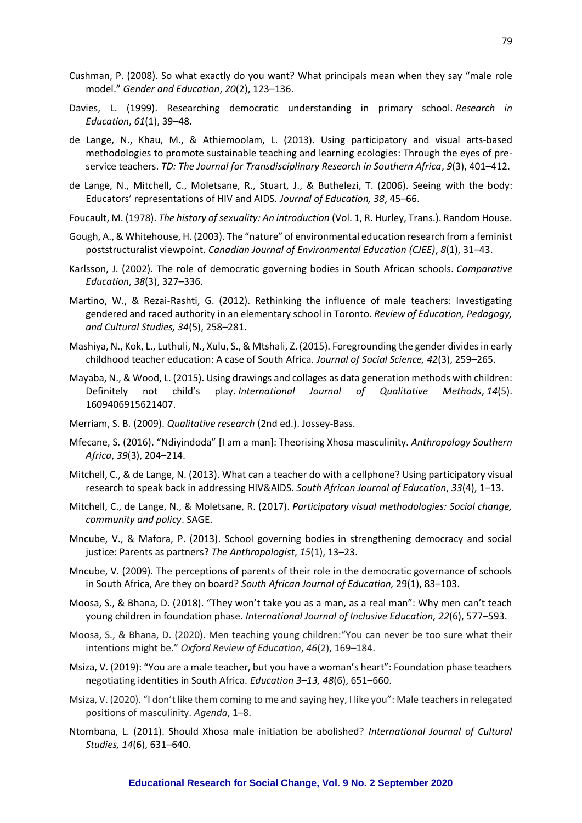- Cushman, P. (2008). So what exactly do you want? What principals mean when they say "male role model." *Gender and Education*, *20*(2), 123–136.
- Davies, L. (1999). Researching democratic understanding in primary school. *Research in Education*, *61*(1), 39–48.
- de Lange, N., Khau, M., & Athiemoolam, L. (2013). Using participatory and visual arts-based methodologies to promote sustainable teaching and learning ecologies: Through the eyes of preservice teachers. *TD: The Journal for Transdisciplinary Research in Southern Africa*, *9*(3), 401–412.
- de Lange, N., Mitchell, C., Moletsane, R., Stuart, J., & Buthelezi, T. (2006). Seeing with the body: Educators' representations of HIV and AIDS. *Journal of Education, 38*, 45–66.
- Foucault, M. (1978). *The history of sexuality: An introduction* (Vol. 1, R. Hurley, Trans.). Random House.
- Gough, A., & Whitehouse, H. (2003). The "nature" of environmental education research from a feminist poststructuralist viewpoint. *Canadian Journal of Environmental Education (CJEE)*, *8*(1), 31–43.
- Karlsson, J. (2002). The role of democratic governing bodies in South African schools. *Comparative Education*, *38*(3), 327–336.
- Martino, W., & Rezai-Rashti, G. (2012). Rethinking the influence of male teachers: Investigating gendered and raced authority in an elementary school in Toronto. *Review of Education, Pedagogy, and Cultural Studies, 34*(5), 258–281.
- Mashiya, N., Kok, L., Luthuli, N., Xulu, S., & Mtshali, Z. (2015). Foregrounding the gender divides in early childhood teacher education: A case of South Africa. *Journal of Social Science, 42*(3), 259–265.
- Mayaba, N., & Wood, L. (2015). Using drawings and collages as data generation methods with children: Definitely not child's play. *International Journal of Qualitative Methods*, *14*(5). 1609406915621407.
- Merriam, S. B. (2009). *Qualitative research* (2nd ed.). Jossey-Bass.
- Mfecane, S. (2016). "Ndiyindoda" [I am a man]: Theorising Xhosa masculinity. *Anthropology Southern Africa*, *39*(3), 204–214.
- Mitchell, C., & de Lange, N. (2013). What can a teacher do with a cellphone? Using participatory visual research to speak back in addressing HIV&AIDS. *South African Journal of Education*, *33*(4), 1–13.
- Mitchell, C., de Lange, N., & Moletsane, R. (2017). *Participatory visual methodologies: Social change, community and policy*. SAGE.
- Mncube, V., & Mafora, P. (2013). School governing bodies in strengthening democracy and social justice: Parents as partners? *The Anthropologist*, *15*(1), 13–23.
- Mncube, V. (2009). The perceptions of parents of their role in the democratic governance of schools in South Africa, Are they on board? *South African Journal of Education,* 29(1), 83–103.
- Moosa, S., & Bhana, D. (2018). "They won't take you as a man, as a real man": Why men can't teach young children in foundation phase. *International Journal of Inclusive Education, 22*(6), 577–593.
- Moosa, S., & Bhana, D. (2020). Men teaching young children:"You can never be too sure what their intentions might be." *Oxford Review of Education*, *46*(2), 169–184.
- Msiza, V. (2019): "You are a male teacher, but you have a woman's heart": Foundation phase teachers negotiating identities in South Africa. *Education 3–13, 48*(6), 651–660.
- Msiza, V. (2020). "I don't like them coming to me and saying hey, I like you": Male teachers in relegated positions of masculinity. *Agenda*, 1–8.
- Ntombana, L. (2011). Should Xhosa male initiation be abolished? *International Journal of Cultural Studies, 14*(6), 631–640.